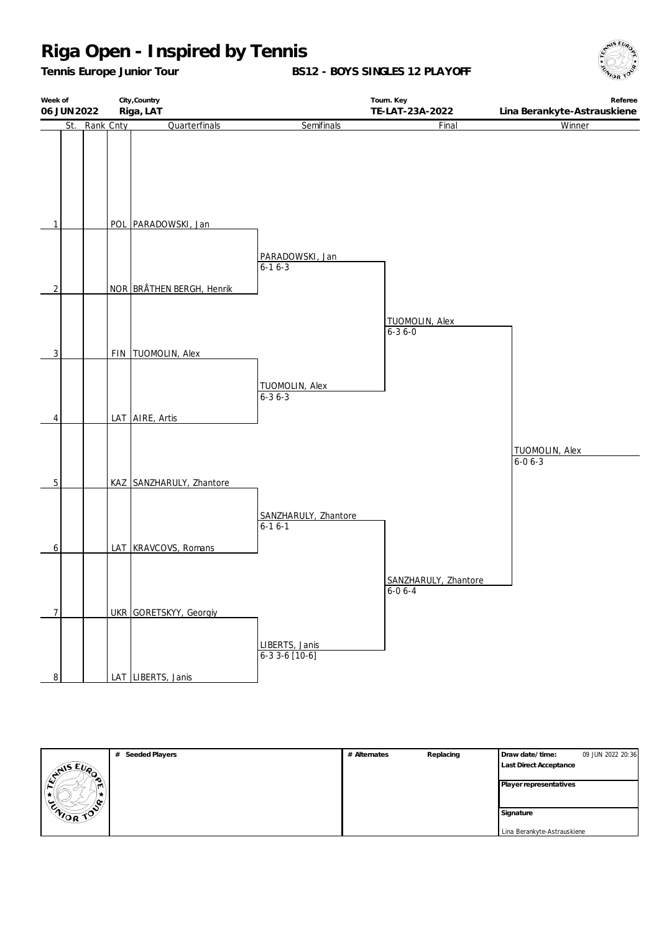*Tennis Europe Junior Tour*

**BS12 - BOYS SINGLES 12 PLAYOFF**





|                       | # Seeded Players | # Alternates | Replacing | Draw date/time:             | 09 JUN 2022 20:36 |
|-----------------------|------------------|--------------|-----------|-----------------------------|-------------------|
| <b>SAISEUP</b>        |                  |              |           | Last Direct Acceptance      |                   |
| $\bullet$             |                  |              |           | Player representatives      |                   |
| $\left  \right $<br>m |                  |              |           |                             |                   |
| ∕ ი∝                  |                  |              |           |                             |                   |
| ENIOR TOP             |                  |              |           | Signature                   |                   |
|                       |                  |              |           | Lina Berankyte-Astrauskiene |                   |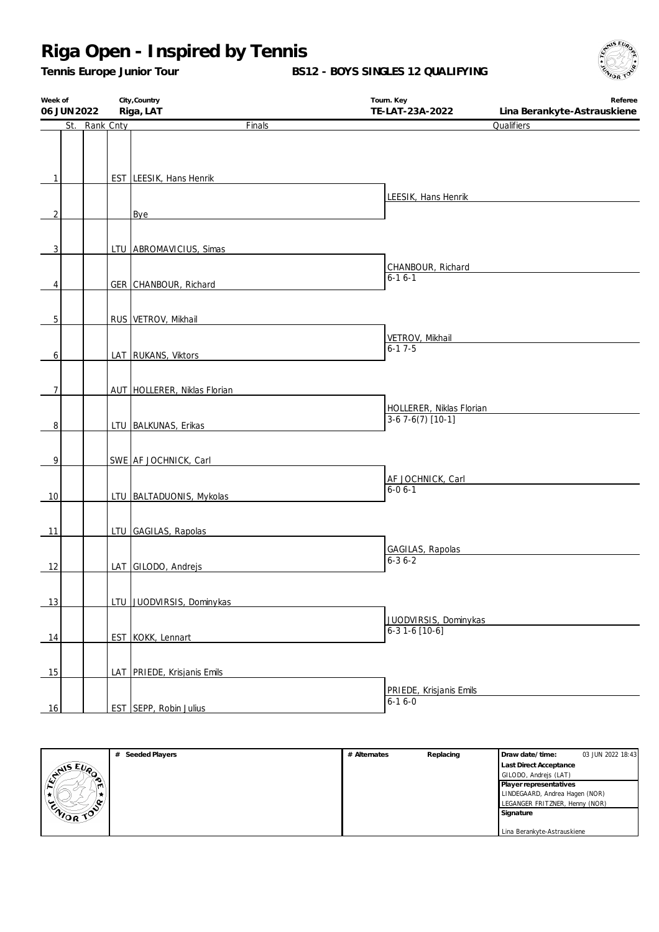*Tennis Europe Junior Tour*

**BS12 - BOYS SINGLES 12 QUALIFYING**



| Week of        |               | City, Country                 | Tourn. Key               | Referee                     |
|----------------|---------------|-------------------------------|--------------------------|-----------------------------|
| 06 JUN 2022    |               | Riga, LAT                     | TE-LAT-23A-2022          | Lina Berankyte-Astrauskiene |
|                | St. Rank Cnty | Finals                        |                          | Qualifiers                  |
|                |               |                               |                          |                             |
|                |               |                               |                          |                             |
|                |               |                               |                          |                             |
| 1              |               | EST LEESIK, Hans Henrik       |                          |                             |
|                |               |                               |                          |                             |
|                |               |                               | LEESIK, Hans Henrik      |                             |
| $\overline{2}$ |               | Bye                           |                          |                             |
|                |               |                               |                          |                             |
|                |               |                               |                          |                             |
| 3              |               | LTU ABROMAVICIUS, Simas       |                          |                             |
|                |               |                               | CHANBOUR, Richard        |                             |
|                |               |                               | $6 - 16 - 1$             |                             |
| 4              |               | GER CHANBOUR, Richard         |                          |                             |
|                |               |                               |                          |                             |
|                |               |                               |                          |                             |
| 5              |               | RUS VETROV, Mikhail           |                          |                             |
|                |               |                               | VETROV, Mikhail          |                             |
|                |               |                               | $6 - 17 - 5$             |                             |
| 6              |               | LAT RUKANS, Viktors           |                          |                             |
|                |               |                               |                          |                             |
| $\overline{7}$ |               | AUT HOLLERER, Niklas Florian  |                          |                             |
|                |               |                               |                          |                             |
|                |               |                               | HOLLERER, Niklas Florian |                             |
| 8              |               | LTU BALKUNAS, Erikas          | $3-67-6(7)$ [10-1]       |                             |
|                |               |                               |                          |                             |
|                |               |                               |                          |                             |
| $\overline{9}$ |               | SWE AF JOCHNICK, Carl         |                          |                             |
|                |               |                               | AF JOCHNICK, Carl        |                             |
|                |               |                               | $6 - 06 - 1$             |                             |
| 10             |               | LTU   BALTADUONIS, Mykolas    |                          |                             |
|                |               |                               |                          |                             |
|                |               |                               |                          |                             |
| 11             |               | LTU GAGILAS, Rapolas          |                          |                             |
|                |               |                               | GAGILAS, Rapolas         |                             |
| 12             |               | LAT GILODO, Andrejs           | $6 - 36 - 2$             |                             |
|                |               |                               |                          |                             |
|                |               |                               |                          |                             |
| 13             |               | LTU JUODVIRSIS, Dominykas     |                          |                             |
|                |               |                               |                          |                             |
|                |               |                               | JUODVIRSIS, Dominykas    |                             |
| 14             |               | EST KOKK, Lennart             | $6-31-6$ [10-6]          |                             |
|                |               |                               |                          |                             |
|                |               |                               |                          |                             |
| 15             |               | LAT PRIEDE, Krisjanis Emils   |                          |                             |
|                |               |                               | PRIEDE, Krisjanis Emils  |                             |
|                |               |                               | $6 - 16 - 0$             |                             |
| 16             |               | <b>EST SEPP, Robin Julius</b> |                          |                             |

|                       | # Seeded Players | # Alternates | Replacing | Draw date/time:                | 03 JUN 2022 18:43 |
|-----------------------|------------------|--------------|-----------|--------------------------------|-------------------|
|                       |                  |              |           | <b>Last Direct Acceptance</b>  |                   |
| $x^{\text{min}}$<br>ಾ |                  |              |           | GILODO, Andrejs (LAT)          |                   |
| ш                     |                  |              |           | Player representatives         |                   |
|                       |                  |              |           | LINDEGAARD, Andrea Hagen (NOR) |                   |
| -^                    |                  |              |           | LEGANGER FRITZNER, Henny (NOR) |                   |
| CNIOR TOP             |                  |              |           | Signature                      |                   |
|                       |                  |              |           |                                |                   |
|                       |                  |              |           | Lina Berankyte-Astrauskiene    |                   |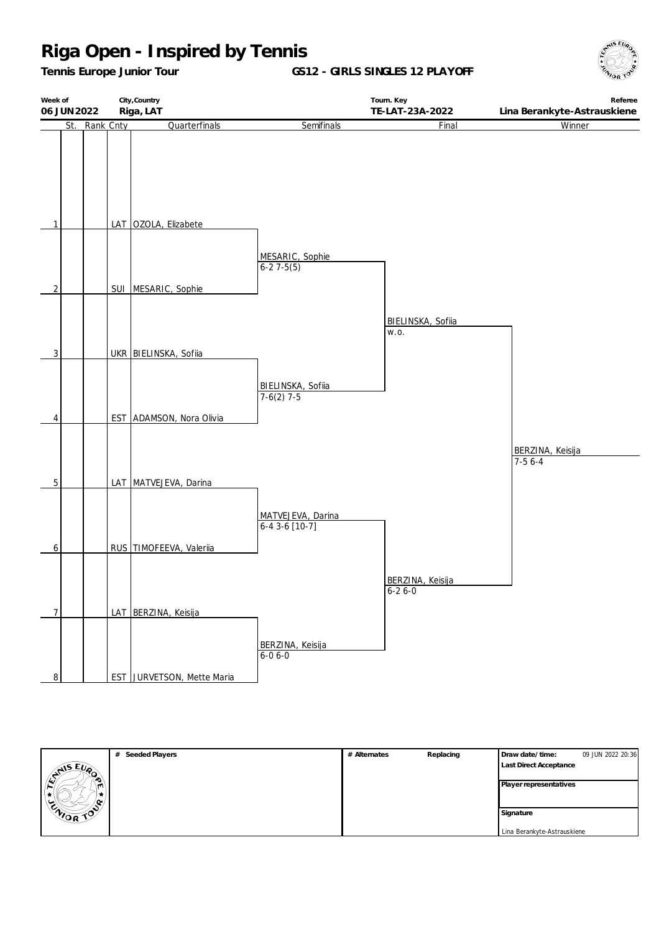*Tennis Europe Junior Tour*

**GS12 - GIRLS SINGLES 12 PLAYOFF**





|                  | # Seeded Players | # Alternates | Replacing | Draw date/time:               | 09 JUN 2022 20:36 |
|------------------|------------------|--------------|-----------|-------------------------------|-------------------|
| <b>ANISEUP</b>   |                  |              |           | <b>Last Direct Acceptance</b> |                   |
| ۰O               |                  |              |           | Player representatives        |                   |
|                  |                  |              |           |                               |                   |
| <b>ENIOR TOP</b> |                  |              |           |                               |                   |
|                  |                  |              |           | Signature                     |                   |
|                  |                  |              |           | Lina Berankyte-Astrauskiene   |                   |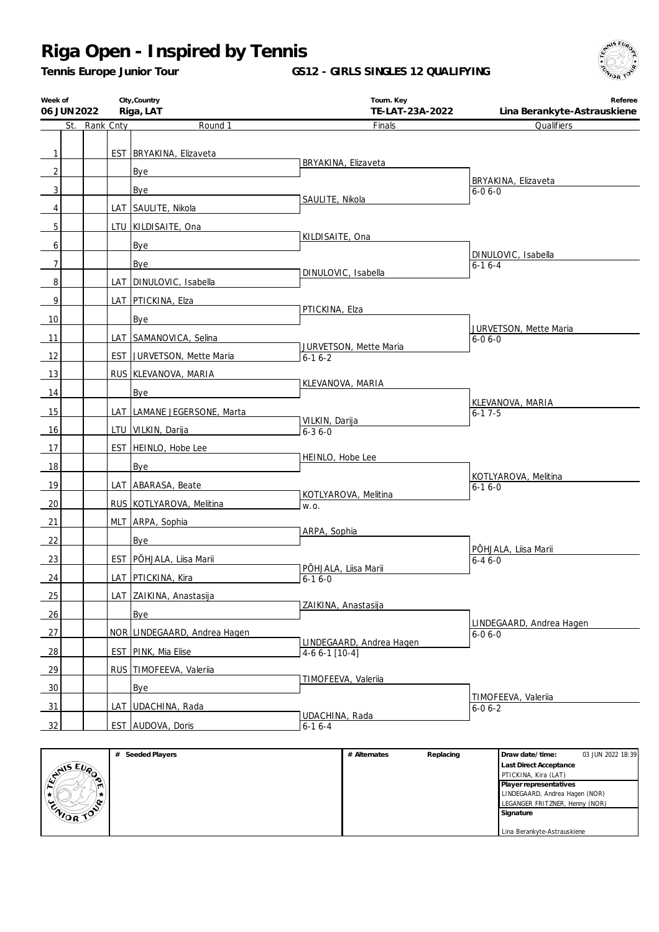*Tennis Europe Junior Tour*

**GS12 - GIRLS SINGLES 12 QUALIFYING**



| Week of<br>06 JUN 2022 |           | City, Country<br>Riga, LAT    | Tourn. Key<br>TE-LAT-23A-2022               | Referee<br>Lina Berankyte-Astrauskiene   |
|------------------------|-----------|-------------------------------|---------------------------------------------|------------------------------------------|
| St.                    | Rank Cnty | Round 1                       | Finals                                      | Qualifiers                               |
| $\mathbf{1}$           |           | EST BRYAKINA, Elizaveta       |                                             |                                          |
| $\overline{2}$         |           | Bye                           | BRYAKINA, Elizaveta                         |                                          |
| 3 <sup>1</sup>         |           | Bye                           |                                             | BRYAKINA, Elizaveta<br>$6 - 06 - 0$      |
| 4                      |           | LAT SAULITE, Nikola           | SAULITE, Nikola                             |                                          |
|                        |           |                               |                                             |                                          |
| 5                      |           | LTU   KILDISAITE, Ona         | KILDISAITE, Ona                             |                                          |
| 6                      |           | Bye                           |                                             | DINULOVIC, Isabella                      |
| $\overline{7}$         |           | Bye                           | DINULOVIC, Isabella                         | $6 - 16 - 4$                             |
| 8 <sup>1</sup>         |           | LAT   DINULOVIC, Isabella     |                                             |                                          |
| 9                      |           | LAT PTICKINA, Elza            | PTICKINA, Elza                              |                                          |
| 10                     |           | Bye                           |                                             |                                          |
| 11                     |           | LAT SAMANOVICA, Selina        |                                             | JURVETSON, Mette Maria<br>$6 - 06 - 0$   |
| 12                     |           | EST JURVETSON, Mette Maria    | JURVETSON, Mette Maria<br>$6 - 16 - 2$      |                                          |
| 13                     |           | RUS KLEVANOVA, MARIA          |                                             |                                          |
| 14                     |           | Bye                           | KLEVANOVA, MARIA                            |                                          |
| 15                     |           | LAT   LAMANE JEGERSONE, Marta |                                             | KLEVANOVA, MARIA<br>$6-17-5$             |
| 16                     |           | LTU   VILKIN, Darija          | VILKIN, Darija                              |                                          |
|                        |           |                               | $6 - 36 - 0$                                |                                          |
| 17                     |           | EST HEINLO, Hobe Lee          | HEINLO, Hobe Lee                            |                                          |
| 18                     |           | Bye                           |                                             | KOTLYAROVA, Melitina                     |
| 19                     |           | LAT ABARASA, Beate            | KOTLYAROVA, Melitina                        | $6 - 16 - 0$                             |
| 20                     |           | RUS KOTLYAROVA, Melitina      | W.O.                                        |                                          |
| 21                     |           | MLT ARPA, Sophia              |                                             |                                          |
| 22                     |           | Bye                           | ARPA, Sophia                                |                                          |
| <u>23</u>              |           | EST   PÕHJALA, Liisa Marii    |                                             | PÕHJALA, Liisa Marii<br>$6 - 46 - 0$     |
| 24                     |           | LAT   PTICKINA, Kira          | PÕHJALA, Liisa Marii<br>$6 - 16 - 0$        |                                          |
| 25                     |           | LAT ZAIKINA, Anastasija       |                                             |                                          |
| 26                     |           | Bye                           | ZAIKINA, Anastasija                         |                                          |
| 27                     |           | NOR LINDEGAARD, Andrea Hagen  |                                             | LINDEGAARD, Andrea Hagen<br>$6 - 06 - 0$ |
| 28                     |           | EST PINK, Mia Elise           | LINDEGAARD, Andrea Hagen<br>$4-66-1$ [10-4] |                                          |
| 29                     |           | RUS TIMOFEEVA, Valeriia       |                                             |                                          |
| 30                     |           | Bye                           | TIMOFEEVA, Valeriia                         |                                          |
|                        |           |                               |                                             | TIMOFEEVA, Valeriia                      |
| 31                     |           | LAT UDACHINA, Rada            | UDACHINA, Rada                              | $6 - 06 - 2$                             |
| 32                     |           | EST AUDOVA, Doris             | $6 - 16 - 4$                                |                                          |
|                        |           | # Seeded Blovers              | $#$ Alternator<br><b>Doploging</b>          | Drow dota /time<br>02 JUN 2022 10:20     |

|                       | Seeded Players | # Alternates | Replacing | Draw date/time:                | 03 JUN 2022 18:39 |
|-----------------------|----------------|--------------|-----------|--------------------------------|-------------------|
|                       |                |              |           | Last Direct Acceptance         |                   |
| <b>ANSEUP</b>         |                |              |           | PTICKINA, Kira (LAT)           |                   |
| m                     |                |              |           | Player representatives         |                   |
|                       |                |              |           | LINDEGAARD, Andrea Hagen (NOR) |                   |
| ۰œ<br>◡               |                |              |           | LEGANGER FRITZNER, Henny (NOR) |                   |
| $\sim$<br><b>CNOR</b> |                |              |           | Signature                      |                   |
|                       |                |              |           |                                |                   |
|                       |                |              |           | Lina Berankyte-Astrauskiene    |                   |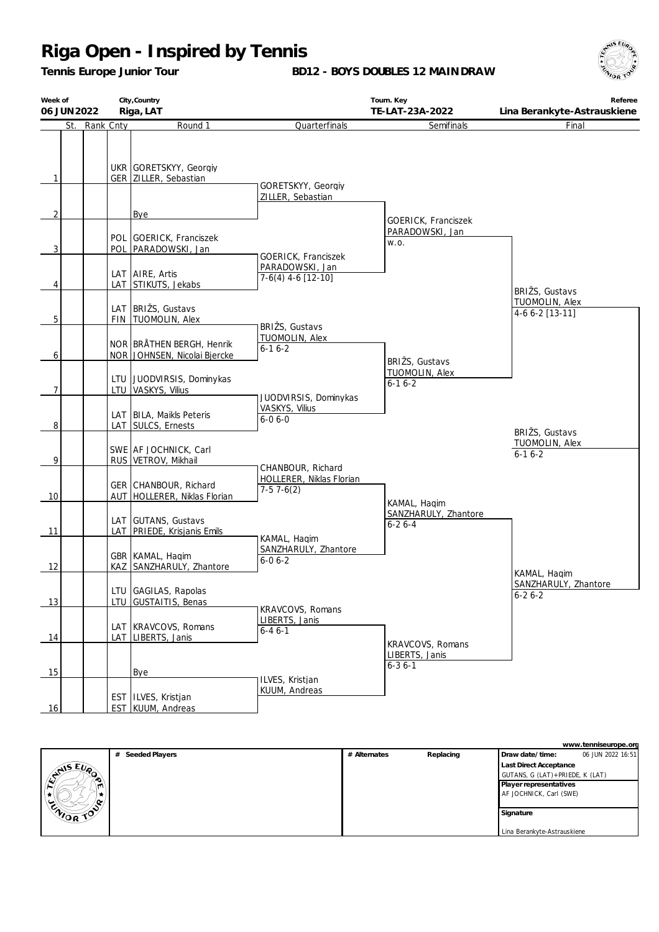*Tennis Europe Junior Tour*

**BD12 - BOYS DOUBLES 12 MAINDRAW**



| Week of<br>06 JUN 2022 |           | City, Country<br>Riga, LAT                                                         |                                                                | Tourn. Key<br>TE-LAT-23A-2022          | Referee<br>Lina Berankyte-Astrauskiene               |
|------------------------|-----------|------------------------------------------------------------------------------------|----------------------------------------------------------------|----------------------------------------|------------------------------------------------------|
| St.                    | Rank Cnty | Round 1                                                                            | Quarterfinals                                                  | Semifinals                             | Final                                                |
| 1<br>2                 |           | UKR GORETSKYY, Georgiy<br>GER   ZILLER, Sebastian<br>Bye                           | GORETSKYY, Georgiy<br>ZILLER, Sebastian                        | GOERICK, Franciszek<br>PARADOWSKI, Jan |                                                      |
| 3                      |           | POL GOERICK, Franciszek<br>POL PARADOWSKI, Jan                                     |                                                                | W.O.                                   |                                                      |
| 4<br>5                 |           | LAT AIRE, Artis<br>LAT STIKUTS, Jekabs<br>LAT BRIŽS, Gustavs<br>FIN TUOMOLIN, Alex | GOERICK, Franciszek<br>PARADOWSKI, Jan<br>$7-6(4)$ 4-6 [12-10] |                                        | BRIŽS, Gustavs<br>TUOMOLIN, Alex<br>$4-66-2$ [13-11] |
| 6                      |           | NOR BRÅTHEN BERGH, Henrik<br>NOR JOHNSEN, Nicolai Bjercke                          | BRIŽS, Gustavs<br>TUOMOLIN, Alex<br>$6 - 16 - 2$               | BRIŽS, Gustavs                         |                                                      |
| 7                      |           | LTU JUODVIRSIS, Dominykas<br>LTU VASKYS, Vilius                                    | JUODVIRSIS, Dominykas                                          | TUOMOLIN, Alex<br>$6 - 16 - 2$         |                                                      |
| 8                      |           | LAT   BILA, Maikls Peteris<br>LAT SULCS, Ernests                                   | VASKYS, Vilius<br>$6 - 06 - 0$                                 |                                        | BRIŽS, Gustavs                                       |
| 9                      |           | SWE AF JOCHNICK, Carl<br>RUS VETROV, Mikhail                                       | CHANBOUR, Richard                                              |                                        | <b>TUOMOLIN, Alex</b><br>$6 - 16 - 2$                |
| 10                     |           | GER CHANBOUR, Richard<br>AUT HOLLERER, Niklas Florian                              | HOLLERER, Niklas Florian<br>$7-57-6(2)$                        | KAMAL, Hagim                           |                                                      |
| 11                     |           | LAT GUTANS, Gustavs<br>LAT PRIEDE, Krisjanis Emils                                 | KAMAL, Hagim                                                   | SANZHARULY, Zhantore<br>$6 - 26 - 4$   |                                                      |
| 12                     |           | GBR   KAMAL, Haqim<br>KAZ SANZHARULY, Zhantore                                     | SANZHARULY, Zhantore<br>$6 - 06 - 2$                           |                                        | KAMAL, Haqim                                         |
| 13                     |           | LTU GAGILAS, Rapolas<br>LTU GUSTAITIS, Benas                                       | KRAVCOVS, Romans                                               |                                        | SANZHARULY, Zhantore<br>$6 - 26 - 2$                 |
| 14                     |           | LAT   KRAVCOVS, Romans<br>LAT   LIBERTS, Janis                                     | LIBERTS, Janis<br>$6 - 46 - 1$                                 | KRAVCOVS, Romans                       |                                                      |
| 15                     |           | Bye                                                                                | ILVES, Kristjan                                                | LIBERTS, Janis<br>$6 - 36 - 1$         |                                                      |
| 16                     |           | EST   ILVES, Kristjan<br>EST   KUUM, Andreas                                       | KUUM, Andreas                                                  |                                        |                                                      |

|           | www.tenniseurope.org |              |           |                                   |                   |  |  |
|-----------|----------------------|--------------|-----------|-----------------------------------|-------------------|--|--|
|           | # Seeded Players     | # Alternates | Replacing | Draw date/time:                   | 06 JUN 2022 16:51 |  |  |
| EMISEUP   |                      |              |           | Last Direct Acceptance            |                   |  |  |
| ∙         |                      |              |           | GUTANS, G (LAT) + PRIEDE, K (LAT) |                   |  |  |
|           |                      |              |           | Player representatives            |                   |  |  |
|           |                      |              |           | AF JOCHNICK, Carl (SWE)           |                   |  |  |
|           |                      |              |           |                                   |                   |  |  |
| ENIOR TOP |                      |              |           | Signature                         |                   |  |  |
|           |                      |              |           |                                   |                   |  |  |
|           |                      |              |           | Lina Berankyte-Astrauskiene       |                   |  |  |